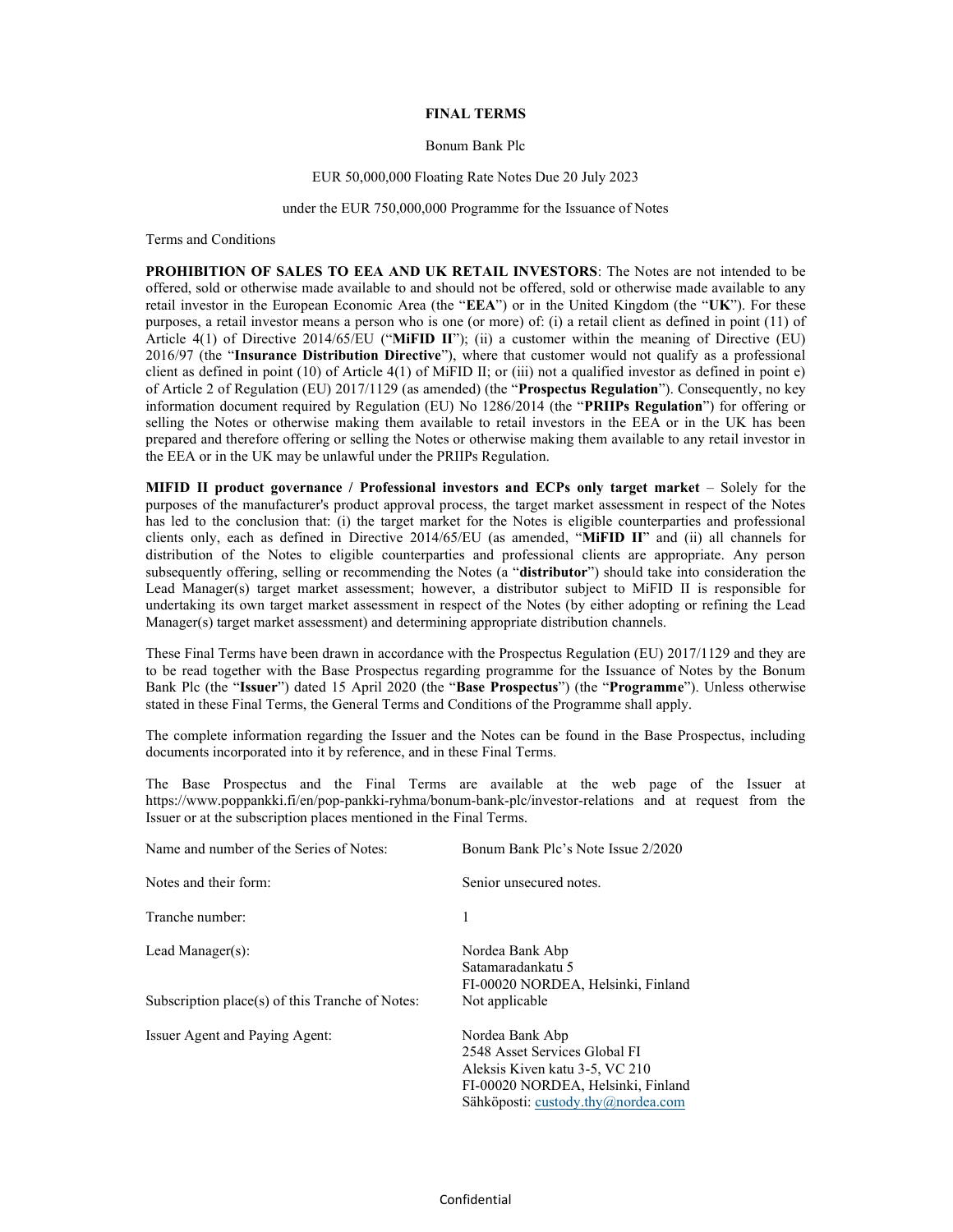### FINAL TERMS

## Bonum Bank Plc

### EUR 50,000,000 Floating Rate Notes Due 20 July 2023

#### under the EUR 750,000,000 Programme for the Issuance of Notes

Terms and Conditions

PROHIBITION OF SALES TO EEA AND UK RETAIL INVESTORS: The Notes are not intended to be offered, sold or otherwise made available to and should not be offered, sold or otherwise made available to any retail investor in the European Economic Area (the "EEA") or in the United Kingdom (the "UK"). For these purposes, a retail investor means a person who is one (or more) of: (i) a retail client as defined in point (11) of Article 4(1) of Directive 2014/65/EU ("MiFID II"); (ii) a customer within the meaning of Directive (EU) 2016/97 (the "Insurance Distribution Directive"), where that customer would not qualify as a professional client as defined in point (10) of Article 4(1) of MiFID II; or (iii) not a qualified investor as defined in point e) of Article 2 of Regulation (EU) 2017/1129 (as amended) (the "Prospectus Regulation"). Consequently, no key information document required by Regulation (EU) No 1286/2014 (the "PRIIPs Regulation") for offering or selling the Notes or otherwise making them available to retail investors in the EEA or in the UK has been prepared and therefore offering or selling the Notes or otherwise making them available to any retail investor in the EEA or in the UK may be unlawful under the PRIIPs Regulation.

MIFID II product governance / Professional investors and ECPs only target market – Solely for the purposes of the manufacturer's product approval process, the target market assessment in respect of the Notes has led to the conclusion that: (i) the target market for the Notes is eligible counterparties and professional clients only, each as defined in Directive 2014/65/EU (as amended, "MiFID II" and (ii) all channels for distribution of the Notes to eligible counterparties and professional clients are appropriate. Any person subsequently offering, selling or recommending the Notes (a "distributor") should take into consideration the Lead Manager(s) target market assessment; however, a distributor subject to MiFID II is responsible for undertaking its own target market assessment in respect of the Notes (by either adopting or refining the Lead Manager(s) target market assessment) and determining appropriate distribution channels.

These Final Terms have been drawn in accordance with the Prospectus Regulation (EU) 2017/1129 and they are to be read together with the Base Prospectus regarding programme for the Issuance of Notes by the Bonum Bank Plc (the "Issuer") dated 15 April 2020 (the "Base Prospectus") (the "Programme"). Unless otherwise stated in these Final Terms, the General Terms and Conditions of the Programme shall apply.

The complete information regarding the Issuer and the Notes can be found in the Base Prospectus, including documents incorporated into it by reference, and in these Final Terms.

The Base Prospectus and the Final Terms are available at the web page of the Issuer at https://www.poppankki.fi/en/pop-pankki-ryhma/bonum-bank-plc/investor-relations and at request from the Issuer or at the subscription places mentioned in the Final Terms.

| Name and number of the Series of Notes:         | Bonum Bank Plc's Note Issue 2/2020                                                                                                                             |
|-------------------------------------------------|----------------------------------------------------------------------------------------------------------------------------------------------------------------|
| Notes and their form:                           | Senior unsecured notes.                                                                                                                                        |
| Tranche number:                                 | 1                                                                                                                                                              |
| Lead Manager $(s)$ :                            | Nordea Bank Abp<br>Satamaradankatu 5<br>FI-00020 NORDEA, Helsinki, Finland                                                                                     |
| Subscription place(s) of this Tranche of Notes: | Not applicable                                                                                                                                                 |
| Issuer Agent and Paying Agent:                  | Nordea Bank Abp<br>2548 Asset Services Global FI<br>Aleksis Kiven katu 3-5, VC 210<br>FI-00020 NORDEA, Helsinki, Finland<br>Sähköposti: custody.thy@nordea.com |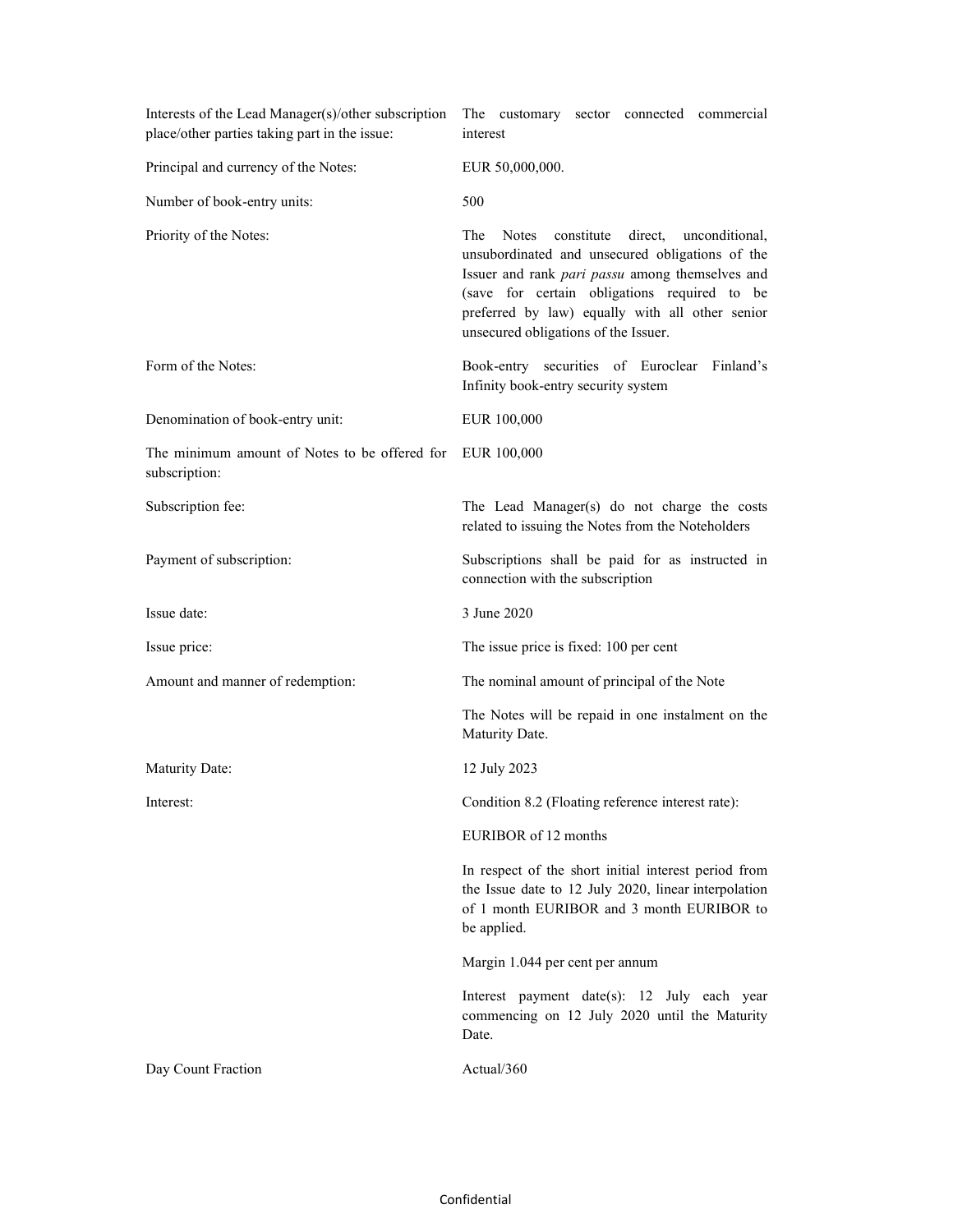| Interests of the Lead Manager(s)/other subscription<br>place/other parties taking part in the issue: | The customary sector connected commercial<br>interest                                                                                                                                                                                                                                                 |
|------------------------------------------------------------------------------------------------------|-------------------------------------------------------------------------------------------------------------------------------------------------------------------------------------------------------------------------------------------------------------------------------------------------------|
| Principal and currency of the Notes:                                                                 | EUR 50,000,000.                                                                                                                                                                                                                                                                                       |
| Number of book-entry units:                                                                          | 500                                                                                                                                                                                                                                                                                                   |
| Priority of the Notes:                                                                               | The<br>Notes<br>constitute direct,<br>unconditional,<br>unsubordinated and unsecured obligations of the<br>Issuer and rank pari passu among themselves and<br>(save for certain obligations required to be<br>preferred by law) equally with all other senior<br>unsecured obligations of the Issuer. |
| Form of the Notes:                                                                                   | Book-entry securities of Euroclear Finland's<br>Infinity book-entry security system                                                                                                                                                                                                                   |
| Denomination of book-entry unit:                                                                     | EUR 100,000                                                                                                                                                                                                                                                                                           |
| The minimum amount of Notes to be offered for<br>subscription:                                       | EUR 100,000                                                                                                                                                                                                                                                                                           |
| Subscription fee:                                                                                    | The Lead Manager(s) do not charge the costs<br>related to issuing the Notes from the Noteholders                                                                                                                                                                                                      |
| Payment of subscription:                                                                             | Subscriptions shall be paid for as instructed in<br>connection with the subscription                                                                                                                                                                                                                  |
| Issue date:                                                                                          | 3 June 2020                                                                                                                                                                                                                                                                                           |
| Issue price:                                                                                         | The issue price is fixed: 100 per cent                                                                                                                                                                                                                                                                |
| Amount and manner of redemption:                                                                     | The nominal amount of principal of the Note                                                                                                                                                                                                                                                           |
|                                                                                                      | The Notes will be repaid in one instalment on the<br>Maturity Date.                                                                                                                                                                                                                                   |
| Maturity Date:                                                                                       | 12 July 2023                                                                                                                                                                                                                                                                                          |
| Interest:                                                                                            | Condition 8.2 (Floating reference interest rate):                                                                                                                                                                                                                                                     |
|                                                                                                      | EURIBOR of 12 months                                                                                                                                                                                                                                                                                  |
|                                                                                                      | In respect of the short initial interest period from<br>the Issue date to 12 July 2020, linear interpolation<br>of 1 month EURIBOR and 3 month EURIBOR to<br>be applied.                                                                                                                              |
|                                                                                                      | Margin 1.044 per cent per annum                                                                                                                                                                                                                                                                       |
|                                                                                                      | Interest payment date(s): 12 July each year<br>commencing on 12 July 2020 until the Maturity<br>Date.                                                                                                                                                                                                 |
| Day Count Fraction                                                                                   | Actual/360                                                                                                                                                                                                                                                                                            |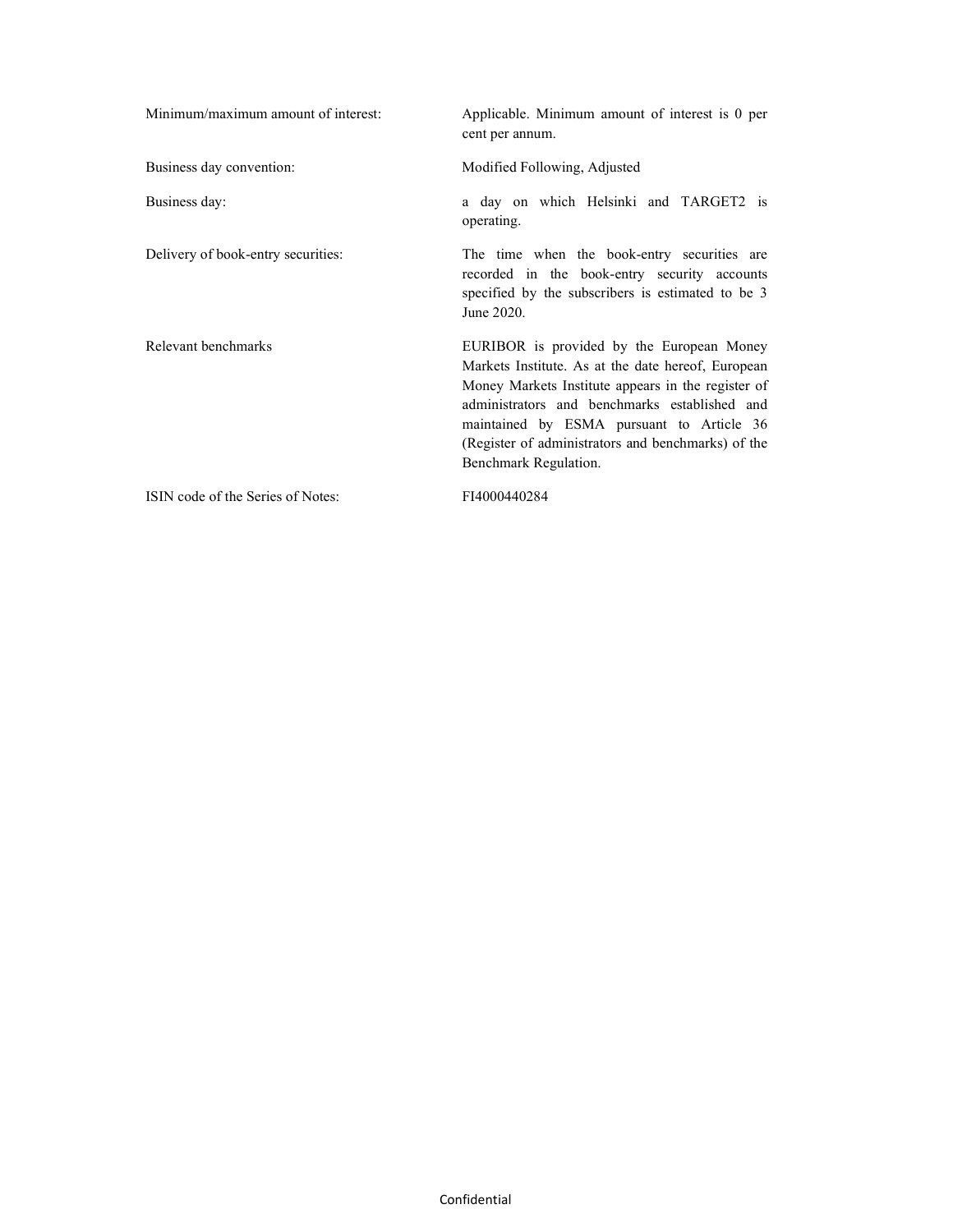| Minimum/maximum amount of interest: | Applicable. Minimum amount of interest is 0 per<br>cent per annum.                                                                                                                                                                                                                                                                 |
|-------------------------------------|------------------------------------------------------------------------------------------------------------------------------------------------------------------------------------------------------------------------------------------------------------------------------------------------------------------------------------|
| Business day convention:            | Modified Following, Adjusted                                                                                                                                                                                                                                                                                                       |
| Business day:                       | a day on which Helsinki and TARGET2 is<br>operating.                                                                                                                                                                                                                                                                               |
| Delivery of book-entry securities:  | The time when the book-entry securities are<br>recorded in the book-entry security accounts<br>specified by the subscribers is estimated to be 3<br>June 2020.                                                                                                                                                                     |
| Relevant benchmarks                 | EURIBOR is provided by the European Money<br>Markets Institute. As at the date hereof, European<br>Money Markets Institute appears in the register of<br>administrators and benchmarks established and<br>maintained by ESMA pursuant to Article 36<br>(Register of administrators and benchmarks) of the<br>Benchmark Regulation. |
| ISIN code of the Series of Notes:   | FI4000440284                                                                                                                                                                                                                                                                                                                       |